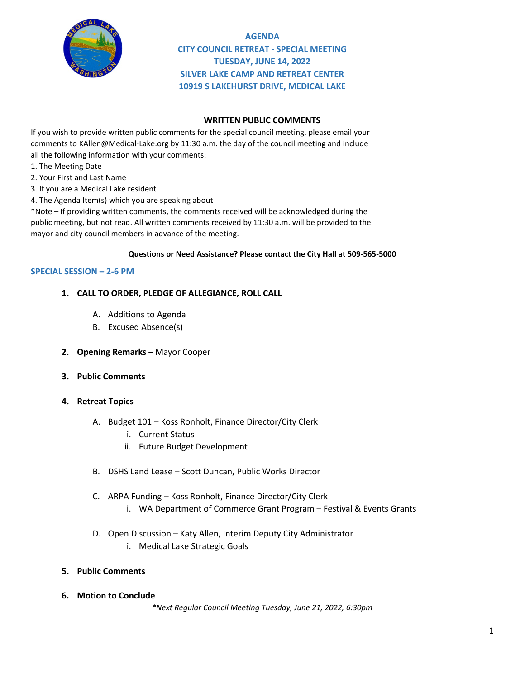

**AGENDA CITY COUNCIL RETREAT - SPECIAL MEETING TUESDAY, JUNE 14, 2022 SILVER LAKE CAMP AND RETREAT CENTER 10919 S LAKEHURST DRIVE, MEDICAL LAKE**

### **WRITTEN PUBLIC COMMENTS**

If you wish to provide written public comments for the special council meeting, please email your comments to KAllen@Medical-Lake.org by 11:30 a.m. the day of the council meeting and include all the following information with your comments:

- 1. The Meeting Date
- 2. Your First and Last Name
- 3. If you are a Medical Lake resident
- 4. The Agenda Item(s) which you are speaking about

\*Note – If providing written comments, the comments received will be acknowledged during the public meeting, but not read. All written comments received by 11:30 a.m. will be provided to the mayor and city council members in advance of the meeting.

#### **Questions or Need Assistance? Please contact the City Hall at 509-565-5000**

#### **SPECIAL SESSION – 2-6 PM**

#### **1. CALL TO ORDER, PLEDGE OF ALLEGIANCE, ROLL CALL**

- A. Additions to Agenda
- B. Excused Absence(s)
- **2. Opening Remarks –** Mayor Cooper
- **3. Public Comments**
- **4. Retreat Topics**
	- A. Budget 101 Koss Ronholt, Finance Director/City Clerk
		- i. Current Status
		- ii. Future Budget Development
	- B. DSHS Land Lease Scott Duncan, Public Works Director
	- C. ARPA Funding Koss Ronholt, Finance Director/City Clerk
		- i. WA Department of Commerce Grant Program Festival & Events Grants
	- D. Open Discussion Katy Allen, Interim Deputy City Administrator
		- i. Medical Lake Strategic Goals
- **5. Public Comments**
- **6. Motion to Conclude**

*\*Next Regular Council Meeting Tuesday, June 21, 2022, 6:30pm*